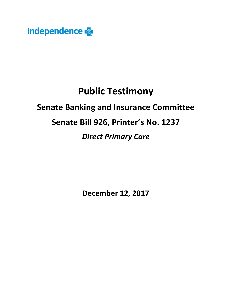

# **Public Testimony**

## **Senate Banking and Insurance Committee**

## **Senate Bill 926, Printer's No. 1237**

### *Direct Primary Care*

**December 12, 2017**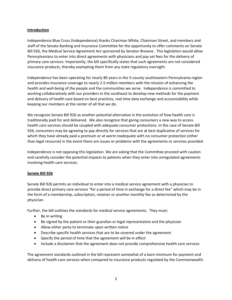#### **Introduction**

Independence Blue Cross (Independence) thanks Chairman White, Chairman Street, and members and staff of the Senate Banking and Insurance Committee for the opportunity to offer comments on Senate Bill 926, the Medical Service Agreement Act sponsored by Senator Browne. This legislation would allow Pennsylvanians to enter into direct agreements with physicians and pay set fees for the delivery of primary care services. Importantly, the bill specifically states that such agreements are not considered insurance products, thereby exempting them from any state regulatory oversight.

Independence has been operating for nearly 80 years in the 5-county southeastern Pennsylvania region and provides insurance coverage to nearly 2.5 million members with the mission of enhancing the health and well-being of the people and the communities we serve. Independence is committed to working collaboratively with our providers in the southeast to develop new methods for the payment and delivery of health care based on best practices, real time data exchange and accountability while keeping our members at the center of all that we do.

We recognize Senate Bill 926 as another potential alternative in the evolution of how health care is traditionally paid for and delivered. We also recognize that giving consumers a new way to access health care services should be coupled with adequate consumer protections. In the case of Senate Bill 926, consumers may be agreeing to pay directly for services that are at best duplicative of services for which they have already paid a premium or at worst inadequate with no consumer protection (other than legal recourse) in the event there are issues or problems with the agreements or services provided.

Independence is not opposing this legislation. We are asking that the Committee proceed with caution and carefully consider the potential impacts to patients when they enter into unregulated agreements involving health care services.

#### **Senate Bill 926**

Senate Bill 926 permits an individual to enter into a medical service agreement with a physician to provide direct primary care services "for a period of time in exchange for a direct fee" which may be in the form of a membership, subscription, retainer or another monthly fee as determined by the physician.

Further, the bill outlines the standards for medical service agreements. They must:

- Be in writing
- Be signed by the patient or their guardian or legal representative and the physician
- Allow either party to terminate upon written notice
- Describe specific health services that are to be covered under the agreement
- Specify the period of time that the agreement will be in effect
- Include a disclaimer that the agreement does not provide comprehensive health care services

The agreement standards outlined in the bill represent somewhat of a bare minimum for payment and delivery of health care services when compared to insurance products regulated by the Commonwealth.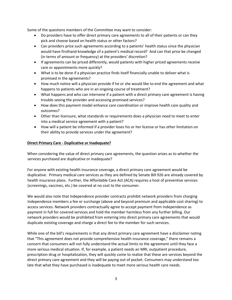Some of the questions members of the Committee may want to consider:

- Do providers have to offer direct primary care agreements to all of their patients or can they pick and choose based on health status or other factors?
- Can providers price such agreements according to a patients' health status since the physician would have firsthand knowledge of a patient's medical record? And can that price be changed (in terms of amount or frequency) at the providers' discretion?
- If agreements can be priced differently, would patients with higher priced agreements receive care or appointments more quickly?
- What is to be done if a physician practice finds itself financially unable to deliver what is promised in the agreements?
- How much notice will a physician provide if he or she would like to end the agreement and what happens to patients who are in an ongoing course of treatment?
- What happens and who can intervene if a patient with a direct primary care agreement is having trouble seeing the provider and accessing promised services?
- How does this payment model enhance care coordination or improve health care quality and outcomes?
- Other than licensure, what standards or requirements does a physician need to meet to enter into a medical service agreement with a patient?
- How will a patient be informed if a provider loses his or her license or has other limitation on their ability to provide services under the agreement?

#### **Direct Primary Care - Duplicative or Inadequate?**

When considering the value of direct primary care agreements, the question arises as to whether the services purchased are duplicative or inadequate?

For anyone with existing health insurance coverage, a direct primary care agreement would be duplicative. Primary medical care services as they are defined by Senate Bill 926 are already covered by health insurance plans. Further, the Affordable Care Act (ACA) requires a host of preventive services (screenings, vaccines, etc.) be covered at no cost to the consumer.

We would also note that Independence provider contracts prohibit network providers from charging Independence members a fee or surcharge (above and beyond premium and applicable cost sharing) to access services. Network providers contractually agree to accept payment from Independence as payment in full for covered services and hold the member harmless from any further billing. Our network providers would be prohibited from entering into direct primary care agreements that would duplicate existing coverage and charge a direct fee to the member for such services.

While one of the bill's requirements is that any direct primary care agreement have a disclaimer noting that "This agreement does not provide comprehensive health insurance coverage," there remains a concern that consumers will not fully understand the actual limits to the agreement until they face a more serious medical situation. If, for example, a patient needs an MRI, outpatient procedure, prescription drug or hospitalization, they will quickly come to realize that these are services beyond the direct primary care agreement and they will be paying out of pocket. Consumers may understand too late that what they have purchased is inadequate to meet more serious health care needs.